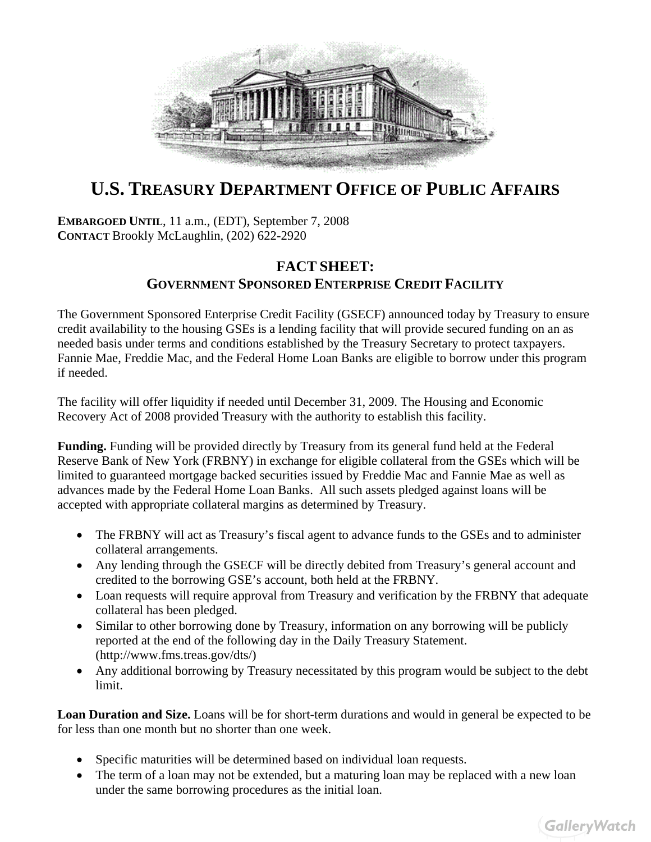

## **U.S. TREASURY DEPARTMENT OFFICE OF PUBLIC AFFAIRS**

#### **EMBARGOED UNTIL**, 11 a.m., (EDT), September 7, 2008 **CONTACT** Brookly McLaughlin, (202) 622-2920

#### **FACT SHEET: GOVERNMENT SPONSORED ENTERPRISE CREDIT FACILITY**

The Government Sponsored Enterprise Credit Facility (GSECF) announced today by Treasury to ensure credit availability to the housing GSEs is a lending facility that will provide secured funding on an as needed basis under terms and conditions established by the Treasury Secretary to protect taxpayers. Fannie Mae, Freddie Mac, and the Federal Home Loan Banks are eligible to borrow under this program if needed.

The facility will offer liquidity if needed until December 31, 2009. The Housing and Economic Recovery Act of 2008 provided Treasury with the authority to establish this facility.

**Funding.** Funding will be provided directly by Treasury from its general fund held at the Federal Reserve Bank of New York (FRBNY) in exchange for eligible collateral from the GSEs which will be limited to guaranteed mortgage backed securities issued by Freddie Mac and Fannie Mae as well as advances made by the Federal Home Loan Banks. All such assets pledged against loans will be accepted with appropriate collateral margins as determined by Treasury.

- The FRBNY will act as Treasury's fiscal agent to advance funds to the GSEs and to administer collateral arrangements.
- Any lending through the GSECF will be directly debited from Treasury's general account and credited to the borrowing GSE's account, both held at the FRBNY.
- Loan requests will require approval from Treasury and verification by the FRBNY that adequate collateral has been pledged.
- Similar to other borrowing done by Treasury, information on any borrowing will be publicly reported at the end of the following day in the Daily Treasury Statement. (http://www.fms.treas.gov/dts/)
- Any additional borrowing by Treasury necessitated by this program would be subject to the debt limit.

**Loan Duration and Size.** Loans will be for short-term durations and would in general be expected to be for less than one month but no shorter than one week.

- Specific maturities will be determined based on individual loan requests.
- The term of a loan may not be extended, but a maturing loan may be replaced with a new loan under the same borrowing procedures as the initial loan.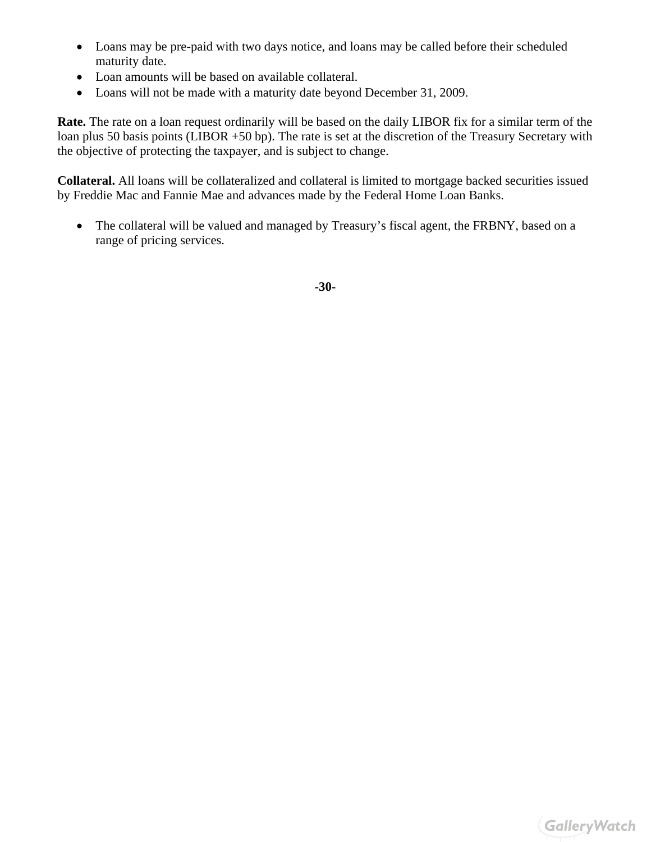- Loans may be pre-paid with two days notice, and loans may be called before their scheduled maturity date.
- Loan amounts will be based on available collateral.
- Loans will not be made with a maturity date beyond December 31, 2009.

**Rate.** The rate on a loan request ordinarily will be based on the daily LIBOR fix for a similar term of the loan plus 50 basis points (LIBOR +50 bp). The rate is set at the discretion of the Treasury Secretary with the objective of protecting the taxpayer, and is subject to change.

**Collateral.** All loans will be collateralized and collateral is limited to mortgage backed securities issued by Freddie Mac and Fannie Mae and advances made by the Federal Home Loan Banks.

• The collateral will be valued and managed by Treasury's fiscal agent, the FRBNY, based on a range of pricing services.

**-30-** 

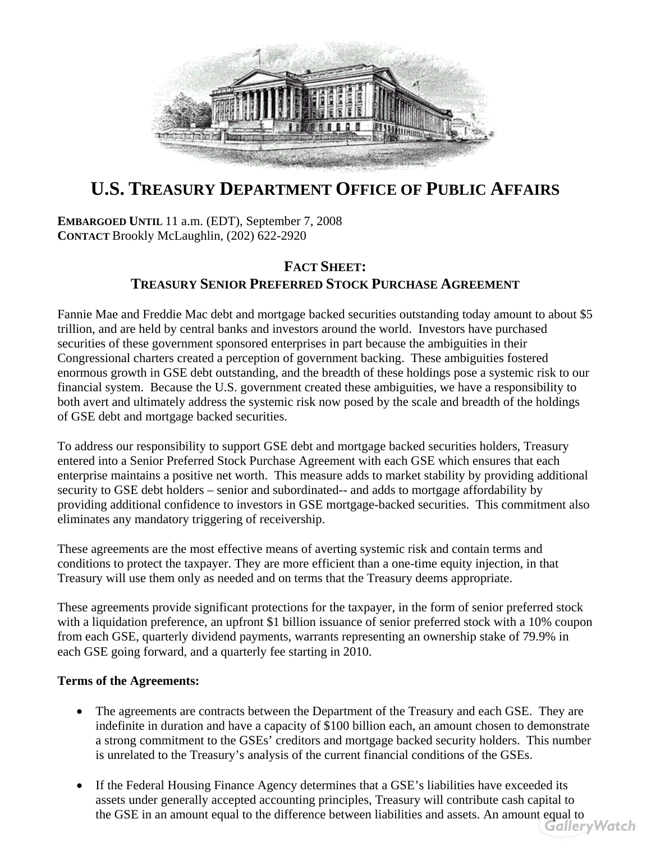

## **U.S. TREASURY DEPARTMENT OFFICE OF PUBLIC AFFAIRS**

#### **EMBARGOED UNTIL** 11 a.m. (EDT), September 7, 2008 **CONTACT** Brookly McLaughlin, (202) 622-2920

### **FACT SHEET: TREASURY SENIOR PREFERRED STOCK PURCHASE AGREEMENT**

Fannie Mae and Freddie Mac debt and mortgage backed securities outstanding today amount to about \$5 trillion, and are held by central banks and investors around the world. Investors have purchased securities of these government sponsored enterprises in part because the ambiguities in their Congressional charters created a perception of government backing. These ambiguities fostered enormous growth in GSE debt outstanding, and the breadth of these holdings pose a systemic risk to our financial system. Because the U.S. government created these ambiguities, we have a responsibility to both avert and ultimately address the systemic risk now posed by the scale and breadth of the holdings of GSE debt and mortgage backed securities.

To address our responsibility to support GSE debt and mortgage backed securities holders, Treasury entered into a Senior Preferred Stock Purchase Agreement with each GSE which ensures that each enterprise maintains a positive net worth. This measure adds to market stability by providing additional security to GSE debt holders – senior and subordinated-- and adds to mortgage affordability by providing additional confidence to investors in GSE mortgage-backed securities. This commitment also eliminates any mandatory triggering of receivership.

These agreements are the most effective means of averting systemic risk and contain terms and conditions to protect the taxpayer. They are more efficient than a one-time equity injection, in that Treasury will use them only as needed and on terms that the Treasury deems appropriate.

These agreements provide significant protections for the taxpayer, in the form of senior preferred stock with a liquidation preference, an upfront \$1 billion issuance of senior preferred stock with a 10% coupon from each GSE, quarterly dividend payments, warrants representing an ownership stake of 79.9% in each GSE going forward, and a quarterly fee starting in 2010.

#### **Terms of the Agreements:**

- The agreements are contracts between the Department of the Treasury and each GSE. They are indefinite in duration and have a capacity of \$100 billion each, an amount chosen to demonstrate a strong commitment to the GSEs' creditors and mortgage backed security holders. This number is unrelated to the Treasury's analysis of the current financial conditions of the GSEs.
- If the Federal Housing Finance Agency determines that a GSE's liabilities have exceeded its assets under generally accepted accounting principles, Treasury will contribute cash capital to the GSE in an amount equal to the difference between liabilities and assets. An amount equal to Callery Watch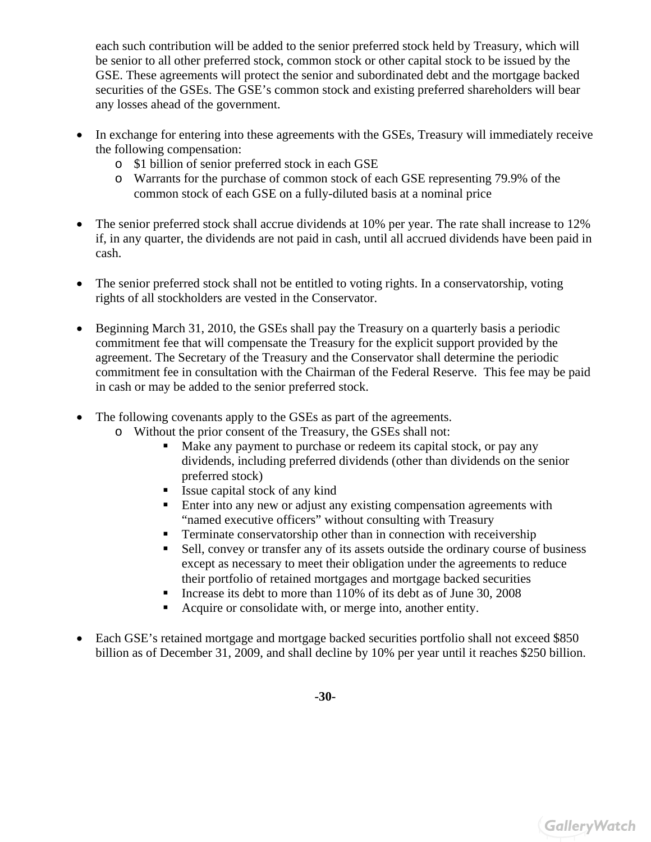each such contribution will be added to the senior preferred stock held by Treasury, which will be senior to all other preferred stock, common stock or other capital stock to be issued by the GSE. These agreements will protect the senior and subordinated debt and the mortgage backed securities of the GSEs. The GSE's common stock and existing preferred shareholders will bear any losses ahead of the government.

- In exchange for entering into these agreements with the GSEs, Treasury will immediately receive the following compensation:
	- o \$1 billion of senior preferred stock in each GSE
	- o Warrants for the purchase of common stock of each GSE representing 79.9% of the common stock of each GSE on a fully-diluted basis at a nominal price
- The senior preferred stock shall accrue dividends at 10% per year. The rate shall increase to 12% if, in any quarter, the dividends are not paid in cash, until all accrued dividends have been paid in cash.
- The senior preferred stock shall not be entitled to voting rights. In a conservatorship, voting rights of all stockholders are vested in the Conservator.
- Beginning March 31, 2010, the GSEs shall pay the Treasury on a quarterly basis a periodic commitment fee that will compensate the Treasury for the explicit support provided by the agreement. The Secretary of the Treasury and the Conservator shall determine the periodic commitment fee in consultation with the Chairman of the Federal Reserve. This fee may be paid in cash or may be added to the senior preferred stock.
- The following covenants apply to the GSEs as part of the agreements.
	- o Without the prior consent of the Treasury, the GSEs shall not:
		- Make any payment to purchase or redeem its capital stock, or pay any dividends, including preferred dividends (other than dividends on the senior preferred stock)
		- **Issue capital stock of any kind**
		- Enter into any new or adjust any existing compensation agreements with "named executive officers" without consulting with Treasury
		- **Terminate conservatorship other than in connection with receivership**
		- Sell, convey or transfer any of its assets outside the ordinary course of business except as necessary to meet their obligation under the agreements to reduce their portfolio of retained mortgages and mortgage backed securities
		- Increase its debt to more than 110% of its debt as of June 30, 2008
		- Acquire or consolidate with, or merge into, another entity.
- Each GSE's retained mortgage and mortgage backed securities portfolio shall not exceed \$850 billion as of December 31, 2009, and shall decline by 10% per year until it reaches \$250 billion.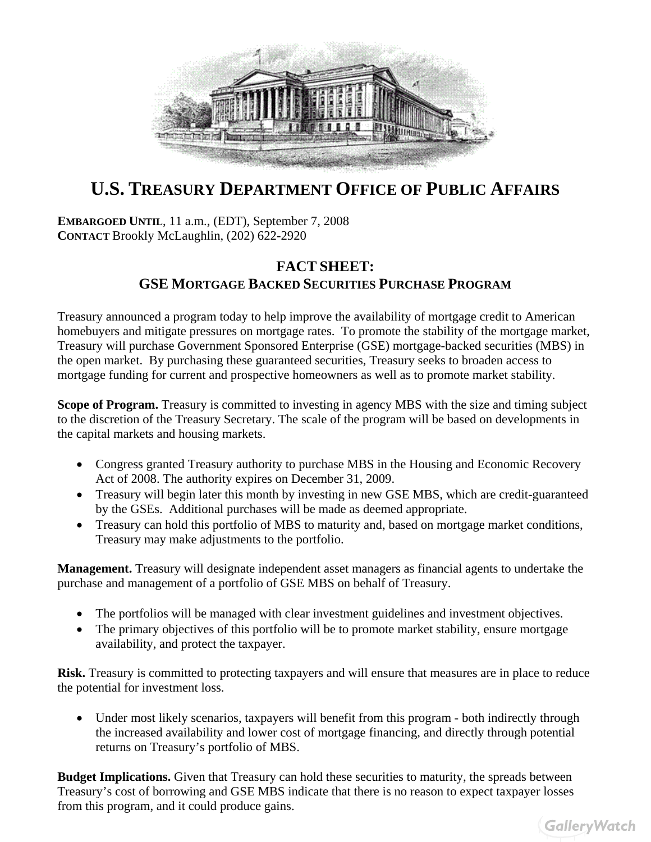

## **U.S. TREASURY DEPARTMENT OFFICE OF PUBLIC AFFAIRS**

#### **EMBARGOED UNTIL**, 11 a.m., (EDT), September 7, 2008 **CONTACT** Brookly McLaughlin, (202) 622-2920

### **FACT SHEET: GSE MORTGAGE BACKED SECURITIES PURCHASE PROGRAM**

Treasury announced a program today to help improve the availability of mortgage credit to American homebuyers and mitigate pressures on mortgage rates. To promote the stability of the mortgage market, Treasury will purchase Government Sponsored Enterprise (GSE) mortgage-backed securities (MBS) in the open market. By purchasing these guaranteed securities, Treasury seeks to broaden access to mortgage funding for current and prospective homeowners as well as to promote market stability.

**Scope of Program.** Treasury is committed to investing in agency MBS with the size and timing subject to the discretion of the Treasury Secretary. The scale of the program will be based on developments in the capital markets and housing markets.

- Congress granted Treasury authority to purchase MBS in the Housing and Economic Recovery Act of 2008. The authority expires on December 31, 2009.
- Treasury will begin later this month by investing in new GSE MBS, which are credit-guaranteed by the GSEs. Additional purchases will be made as deemed appropriate.
- Treasury can hold this portfolio of MBS to maturity and, based on mortgage market conditions, Treasury may make adjustments to the portfolio.

**Management.** Treasury will designate independent asset managers as financial agents to undertake the purchase and management of a portfolio of GSE MBS on behalf of Treasury.

- The portfolios will be managed with clear investment guidelines and investment objectives.
- The primary objectives of this portfolio will be to promote market stability, ensure mortgage availability, and protect the taxpayer.

**Risk.** Treasury is committed to protecting taxpayers and will ensure that measures are in place to reduce the potential for investment loss.

• Under most likely scenarios, taxpayers will benefit from this program - both indirectly through the increased availability and lower cost of mortgage financing, and directly through potential returns on Treasury's portfolio of MBS.

**Budget Implications.** Given that Treasury can hold these securities to maturity, the spreads between Treasury's cost of borrowing and GSE MBS indicate that there is no reason to expect taxpayer losses from this program, and it could produce gains.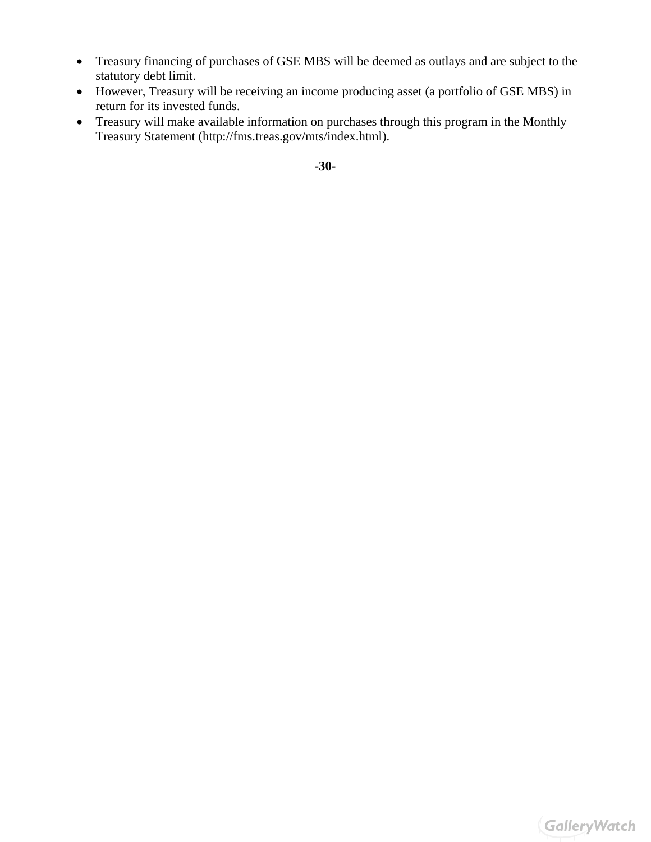- Treasury financing of purchases of GSE MBS will be deemed as outlays and are subject to the statutory debt limit.
- However, Treasury will be receiving an income producing asset (a portfolio of GSE MBS) in return for its invested funds.
- Treasury will make available information on purchases through this program in the Monthly Treasury Statement (http://fms.treas.gov/mts/index.html).

**-30-** 

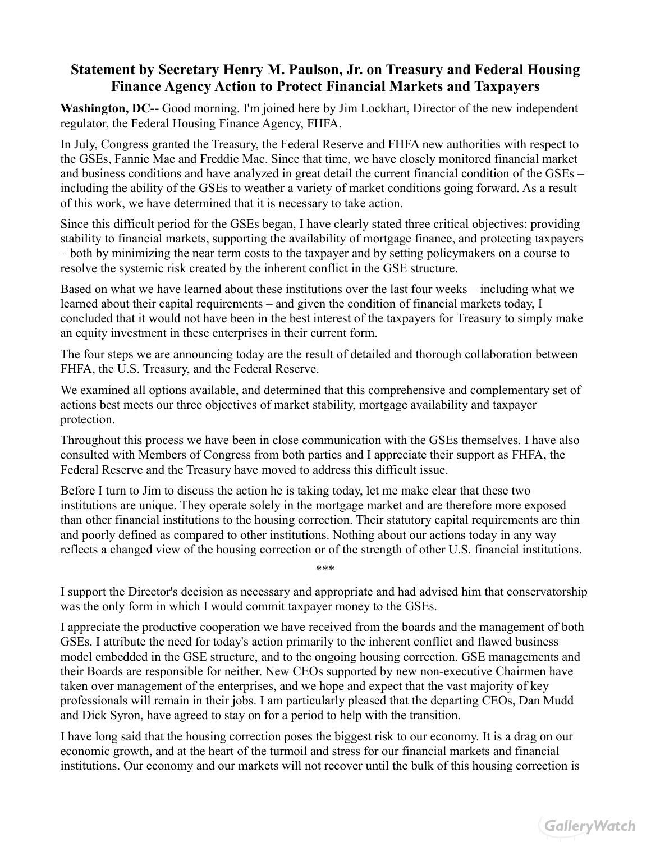### **Statement by Secretary Henry M. Paulson, Jr. on Treasury and Federal Housing Finance Agency Action to Protect Financial Markets and Taxpayers**

**Washington, DC--** Good morning. I'm joined here by Jim Lockhart, Director of the new independent regulator, the Federal Housing Finance Agency, FHFA.

In July, Congress granted the Treasury, the Federal Reserve and FHFA new authorities with respect to the GSEs, Fannie Mae and Freddie Mac. Since that time, we have closely monitored financial market and business conditions and have analyzed in great detail the current financial condition of the GSEs – including the ability of the GSEs to weather a variety of market conditions going forward. As a result of this work, we have determined that it is necessary to take action.

Since this difficult period for the GSEs began, I have clearly stated three critical objectives: providing stability to financial markets, supporting the availability of mortgage finance, and protecting taxpayers – both by minimizing the near term costs to the taxpayer and by setting policymakers on a course to resolve the systemic risk created by the inherent conflict in the GSE structure.

Based on what we have learned about these institutions over the last four weeks – including what we learned about their capital requirements – and given the condition of financial markets today, I concluded that it would not have been in the best interest of the taxpayers for Treasury to simply make an equity investment in these enterprises in their current form.

The four steps we are announcing today are the result of detailed and thorough collaboration between FHFA, the U.S. Treasury, and the Federal Reserve.

We examined all options available, and determined that this comprehensive and complementary set of actions best meets our three objectives of market stability, mortgage availability and taxpayer protection.

Throughout this process we have been in close communication with the GSEs themselves. I have also consulted with Members of Congress from both parties and I appreciate their support as FHFA, the Federal Reserve and the Treasury have moved to address this difficult issue.

Before I turn to Jim to discuss the action he is taking today, let me make clear that these two institutions are unique. They operate solely in the mortgage market and are therefore more exposed than other financial institutions to the housing correction. Their statutory capital requirements are thin and poorly defined as compared to other institutions. Nothing about our actions today in any way reflects a changed view of the housing correction or of the strength of other U.S. financial institutions.

I support the Director's decision as necessary and appropriate and had advised him that conservatorship was the only form in which I would commit taxpayer money to the GSEs.

\*\*\*

I appreciate the productive cooperation we have received from the boards and the management of both GSEs. I attribute the need for today's action primarily to the inherent conflict and flawed business model embedded in the GSE structure, and to the ongoing housing correction. GSE managements and their Boards are responsible for neither. New CEOs supported by new non-executive Chairmen have taken over management of the enterprises, and we hope and expect that the vast majority of key professionals will remain in their jobs. I am particularly pleased that the departing CEOs, Dan Mudd and Dick Syron, have agreed to stay on for a period to help with the transition.

I have long said that the housing correction poses the biggest risk to our economy. It is a drag on our economic growth, and at the heart of the turmoil and stress for our financial markets and financial institutions. Our economy and our markets will not recover until the bulk of this housing correction is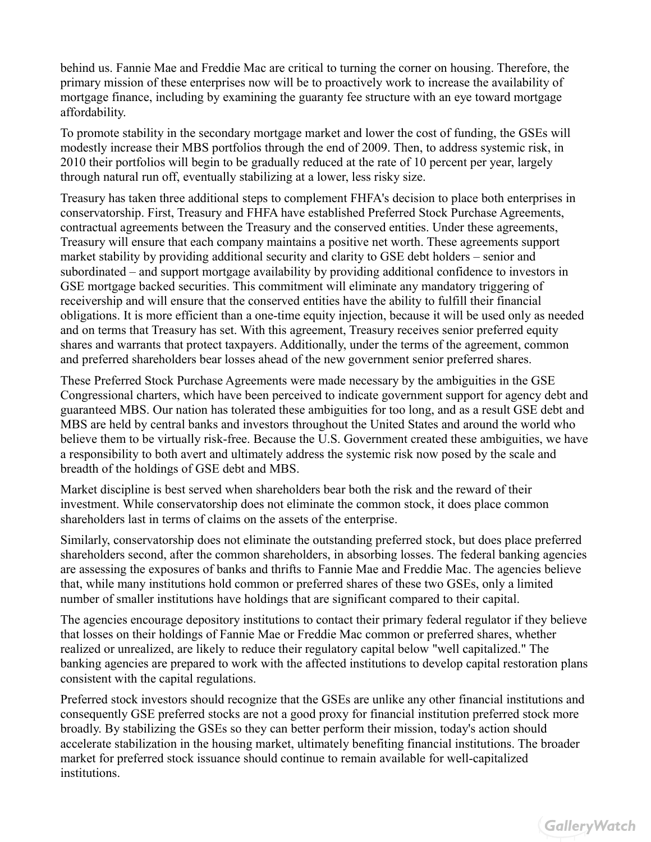behind us. Fannie Mae and Freddie Mac are critical to turning the corner on housing. Therefore, the primary mission of these enterprises now will be to proactively work to increase the availability of mortgage finance, including by examining the guaranty fee structure with an eye toward mortgage affordability.

To promote stability in the secondary mortgage market and lower the cost of funding, the GSEs will modestly increase their MBS portfolios through the end of 2009. Then, to address systemic risk, in 2010 their portfolios will begin to be gradually reduced at the rate of 10 percent per year, largely through natural run off, eventually stabilizing at a lower, less risky size.

Treasury has taken three additional steps to complement FHFA's decision to place both enterprises in conservatorship. First, Treasury and FHFA have established Preferred Stock Purchase Agreements, contractual agreements between the Treasury and the conserved entities. Under these agreements, Treasury will ensure that each company maintains a positive net worth. These agreements support market stability by providing additional security and clarity to GSE debt holders – senior and subordinated – and support mortgage availability by providing additional confidence to investors in GSE mortgage backed securities. This commitment will eliminate any mandatory triggering of receivership and will ensure that the conserved entities have the ability to fulfill their financial obligations. It is more efficient than a one-time equity injection, because it will be used only as needed and on terms that Treasury has set. With this agreement, Treasury receives senior preferred equity shares and warrants that protect taxpayers. Additionally, under the terms of the agreement, common and preferred shareholders bear losses ahead of the new government senior preferred shares.

These Preferred Stock Purchase Agreements were made necessary by the ambiguities in the GSE Congressional charters, which have been perceived to indicate government support for agency debt and guaranteed MBS. Our nation has tolerated these ambiguities for too long, and as a result GSE debt and MBS are held by central banks and investors throughout the United States and around the world who believe them to be virtually risk-free. Because the U.S. Government created these ambiguities, we have a responsibility to both avert and ultimately address the systemic risk now posed by the scale and breadth of the holdings of GSE debt and MBS.

Market discipline is best served when shareholders bear both the risk and the reward of their investment. While conservatorship does not eliminate the common stock, it does place common shareholders last in terms of claims on the assets of the enterprise.

Similarly, conservatorship does not eliminate the outstanding preferred stock, but does place preferred shareholders second, after the common shareholders, in absorbing losses. The federal banking agencies are assessing the exposures of banks and thrifts to Fannie Mae and Freddie Mac. The agencies believe that, while many institutions hold common or preferred shares of these two GSEs, only a limited number of smaller institutions have holdings that are significant compared to their capital.

The agencies encourage depository institutions to contact their primary federal regulator if they believe that losses on their holdings of Fannie Mae or Freddie Mac common or preferred shares, whether realized or unrealized, are likely to reduce their regulatory capital below "well capitalized." The banking agencies are prepared to work with the affected institutions to develop capital restoration plans consistent with the capital regulations.

Preferred stock investors should recognize that the GSEs are unlike any other financial institutions and consequently GSE preferred stocks are not a good proxy for financial institution preferred stock more broadly. By stabilizing the GSEs so they can better perform their mission, today's action should accelerate stabilization in the housing market, ultimately benefiting financial institutions. The broader market for preferred stock issuance should continue to remain available for well-capitalized institutions.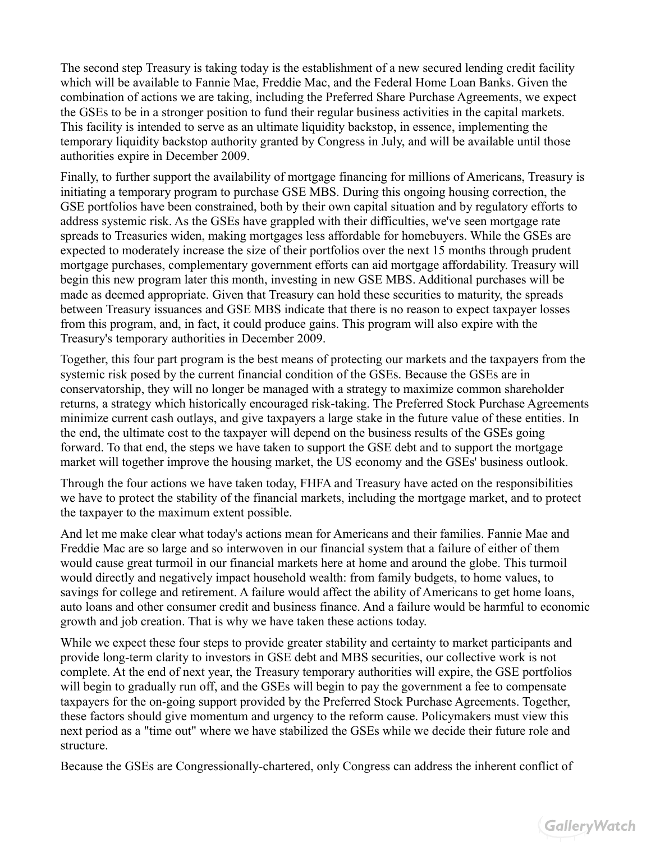The second step Treasury is taking today is the establishment of a new secured lending credit facility which will be available to Fannie Mae, Freddie Mac, and the Federal Home Loan Banks. Given the combination of actions we are taking, including the Preferred Share Purchase Agreements, we expect the GSEs to be in a stronger position to fund their regular business activities in the capital markets. This facility is intended to serve as an ultimate liquidity backstop, in essence, implementing the temporary liquidity backstop authority granted by Congress in July, and will be available until those authorities expire in December 2009.

Finally, to further support the availability of mortgage financing for millions of Americans, Treasury is initiating a temporary program to purchase GSE MBS. During this ongoing housing correction, the GSE portfolios have been constrained, both by their own capital situation and by regulatory efforts to address systemic risk. As the GSEs have grappled with their difficulties, we've seen mortgage rate spreads to Treasuries widen, making mortgages less affordable for homebuyers. While the GSEs are expected to moderately increase the size of their portfolios over the next 15 months through prudent mortgage purchases, complementary government efforts can aid mortgage affordability. Treasury will begin this new program later this month, investing in new GSE MBS. Additional purchases will be made as deemed appropriate. Given that Treasury can hold these securities to maturity, the spreads between Treasury issuances and GSE MBS indicate that there is no reason to expect taxpayer losses from this program, and, in fact, it could produce gains. This program will also expire with the Treasury's temporary authorities in December 2009.

Together, this four part program is the best means of protecting our markets and the taxpayers from the systemic risk posed by the current financial condition of the GSEs. Because the GSEs are in conservatorship, they will no longer be managed with a strategy to maximize common shareholder returns, a strategy which historically encouraged risk-taking. The Preferred Stock Purchase Agreements minimize current cash outlays, and give taxpayers a large stake in the future value of these entities. In the end, the ultimate cost to the taxpayer will depend on the business results of the GSEs going forward. To that end, the steps we have taken to support the GSE debt and to support the mortgage market will together improve the housing market, the US economy and the GSEs' business outlook.

Through the four actions we have taken today, FHFA and Treasury have acted on the responsibilities we have to protect the stability of the financial markets, including the mortgage market, and to protect the taxpayer to the maximum extent possible.

And let me make clear what today's actions mean for Americans and their families. Fannie Mae and Freddie Mac are so large and so interwoven in our financial system that a failure of either of them would cause great turmoil in our financial markets here at home and around the globe. This turmoil would directly and negatively impact household wealth: from family budgets, to home values, to savings for college and retirement. A failure would affect the ability of Americans to get home loans, auto loans and other consumer credit and business finance. And a failure would be harmful to economic growth and job creation. That is why we have taken these actions today.

While we expect these four steps to provide greater stability and certainty to market participants and provide long-term clarity to investors in GSE debt and MBS securities, our collective work is not complete. At the end of next year, the Treasury temporary authorities will expire, the GSE portfolios will begin to gradually run off, and the GSEs will begin to pay the government a fee to compensate taxpayers for the on-going support provided by the Preferred Stock Purchase Agreements. Together, these factors should give momentum and urgency to the reform cause. Policymakers must view this next period as a "time out" where we have stabilized the GSEs while we decide their future role and structure.

Because the GSEs are Congressionally-chartered, only Congress can address the inherent conflict of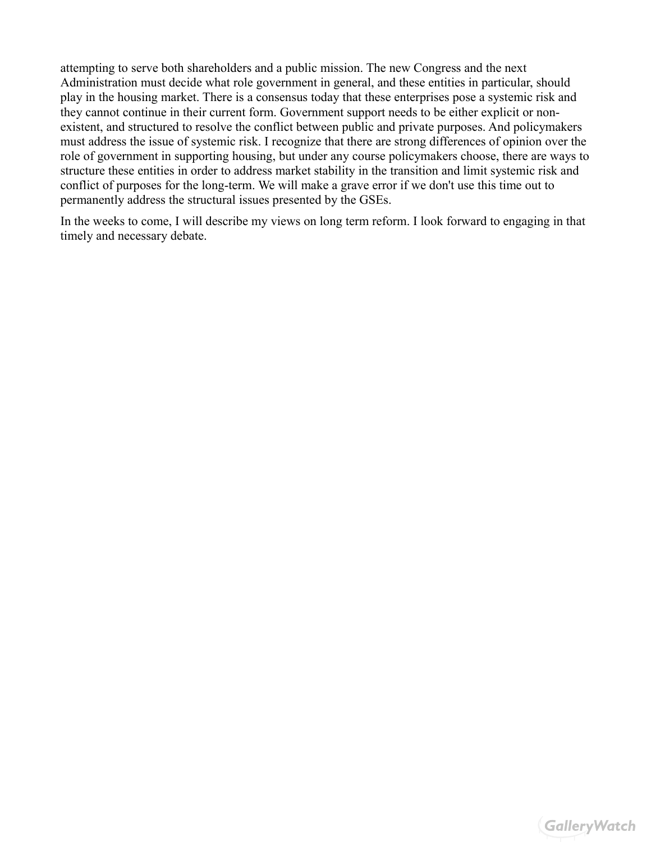attempting to serve both shareholders and a public mission. The new Congress and the next Administration must decide what role government in general, and these entities in particular, should play in the housing market. There is a consensus today that these enterprises pose a systemic risk and they cannot continue in their current form. Government support needs to be either explicit or nonexistent, and structured to resolve the conflict between public and private purposes. And policymakers must address the issue of systemic risk. I recognize that there are strong differences of opinion over the role of government in supporting housing, but under any course policymakers choose, there are ways to structure these entities in order to address market stability in the transition and limit systemic risk and conflict of purposes for the long-term. We will make a grave error if we don't use this time out to permanently address the structural issues presented by the GSEs.

In the weeks to come, I will describe my views on long term reform. I look forward to engaging in that timely and necessary debate.

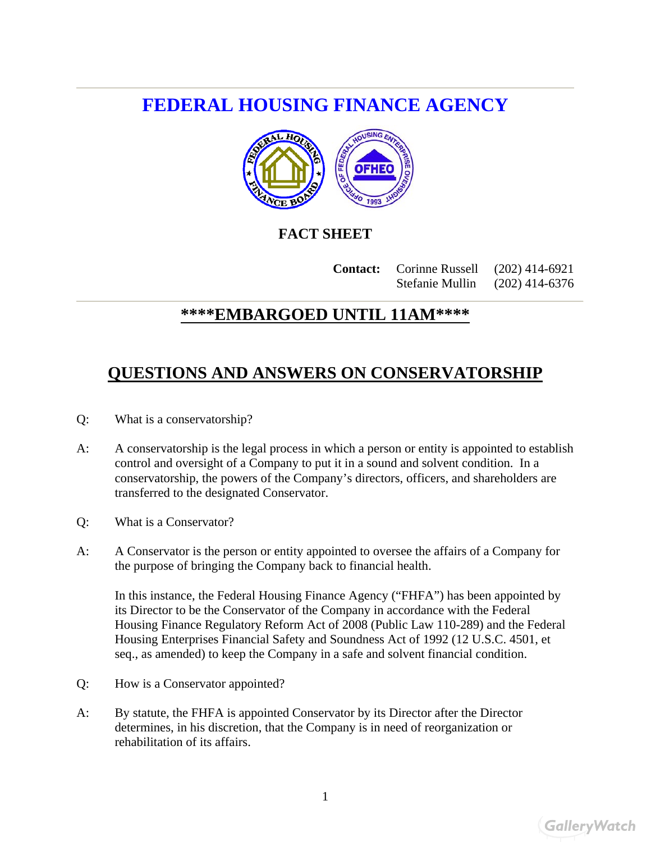# **FEDERAL HOUSING FINANCE AGENCY**



### **FACT SHEET**

| <b>Contact:</b> | Corinne Russell | $(202)$ 414-6921 |
|-----------------|-----------------|------------------|
|                 | Stefanie Mullin | $(202)$ 414-6376 |

### **\*\*\*\*EMBARGOED UNTIL 11AM\*\*\*\***

## **QUESTIONS AND ANSWERS ON CONSERVATORSHIP**

- Q: What is a conservatorship?
- A: A conservatorship is the legal process in which a person or entity is appointed to establish control and oversight of a Company to put it in a sound and solvent condition. In a conservatorship, the powers of the Company's directors, officers, and shareholders are transferred to the designated Conservator.
- Q: What is a Conservator?
- A: A Conservator is the person or entity appointed to oversee the affairs of a Company for the purpose of bringing the Company back to financial health.

In this instance, the Federal Housing Finance Agency ("FHFA") has been appointed by its Director to be the Conservator of the Company in accordance with the Federal Housing Finance Regulatory Reform Act of 2008 (Public Law 110-289) and the Federal Housing Enterprises Financial Safety and Soundness Act of 1992 (12 U.S.C. 4501, et seq., as amended) to keep the Company in a safe and solvent financial condition.

- Q: How is a Conservator appointed?
- A: By statute, the FHFA is appointed Conservator by its Director after the Director determines, in his discretion, that the Company is in need of reorganization or rehabilitation of its affairs.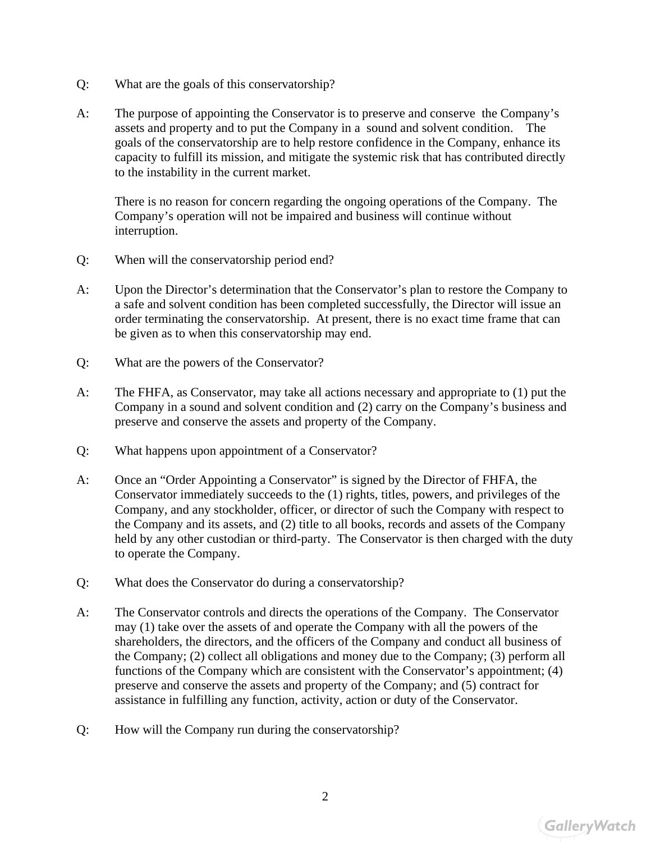- Q: What are the goals of this conservatorship?
- A: The purpose of appointing the Conservator is to preserve and conserve the Company's assets and property and to put the Company in a sound and solvent condition. The goals of the conservatorship are to help restore confidence in the Company, enhance its capacity to fulfill its mission, and mitigate the systemic risk that has contributed directly to the instability in the current market.

There is no reason for concern regarding the ongoing operations of the Company. The Company's operation will not be impaired and business will continue without interruption.

- Q: When will the conservatorship period end?
- A: Upon the Director's determination that the Conservator's plan to restore the Company to a safe and solvent condition has been completed successfully, the Director will issue an order terminating the conservatorship. At present, there is no exact time frame that can be given as to when this conservatorship may end.
- Q: What are the powers of the Conservator?
- A: The FHFA, as Conservator, may take all actions necessary and appropriate to (1) put the Company in a sound and solvent condition and (2) carry on the Company's business and preserve and conserve the assets and property of the Company.
- Q: What happens upon appointment of a Conservator?
- A: Once an "Order Appointing a Conservator" is signed by the Director of FHFA, the Conservator immediately succeeds to the (1) rights, titles, powers, and privileges of the Company, and any stockholder, officer, or director of such the Company with respect to the Company and its assets, and (2) title to all books, records and assets of the Company held by any other custodian or third-party. The Conservator is then charged with the duty to operate the Company.
- Q: What does the Conservator do during a conservatorship?
- A: The Conservator controls and directs the operations of the Company. The Conservator may (1) take over the assets of and operate the Company with all the powers of the shareholders, the directors, and the officers of the Company and conduct all business of the Company; (2) collect all obligations and money due to the Company; (3) perform all functions of the Company which are consistent with the Conservator's appointment; (4) preserve and conserve the assets and property of the Company; and (5) contract for assistance in fulfilling any function, activity, action or duty of the Conservator.
- Q: How will the Company run during the conservatorship?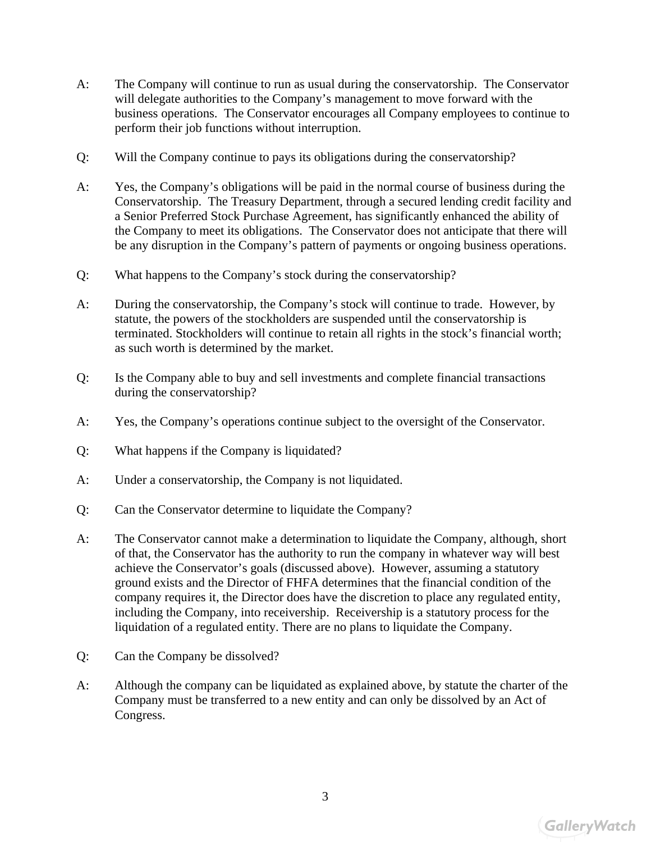- A: The Company will continue to run as usual during the conservatorship. The Conservator will delegate authorities to the Company's management to move forward with the business operations. The Conservator encourages all Company employees to continue to perform their job functions without interruption.
- Q: Will the Company continue to pays its obligations during the conservatorship?
- A: Yes, the Company's obligations will be paid in the normal course of business during the Conservatorship. The Treasury Department, through a secured lending credit facility and a Senior Preferred Stock Purchase Agreement, has significantly enhanced the ability of the Company to meet its obligations. The Conservator does not anticipate that there will be any disruption in the Company's pattern of payments or ongoing business operations.
- Q: What happens to the Company's stock during the conservatorship?
- A: During the conservatorship, the Company's stock will continue to trade. However, by statute, the powers of the stockholders are suspended until the conservatorship is terminated. Stockholders will continue to retain all rights in the stock's financial worth; as such worth is determined by the market.
- Q: Is the Company able to buy and sell investments and complete financial transactions during the conservatorship?
- A: Yes, the Company's operations continue subject to the oversight of the Conservator.
- Q: What happens if the Company is liquidated?
- A: Under a conservatorship, the Company is not liquidated.
- Q: Can the Conservator determine to liquidate the Company?
- A: The Conservator cannot make a determination to liquidate the Company, although, short of that, the Conservator has the authority to run the company in whatever way will best achieve the Conservator's goals (discussed above). However, assuming a statutory ground exists and the Director of FHFA determines that the financial condition of the company requires it, the Director does have the discretion to place any regulated entity, including the Company, into receivership. Receivership is a statutory process for the liquidation of a regulated entity. There are no plans to liquidate the Company.
- Q: Can the Company be dissolved?
- A: Although the company can be liquidated as explained above, by statute the charter of the Company must be transferred to a new entity and can only be dissolved by an Act of Congress.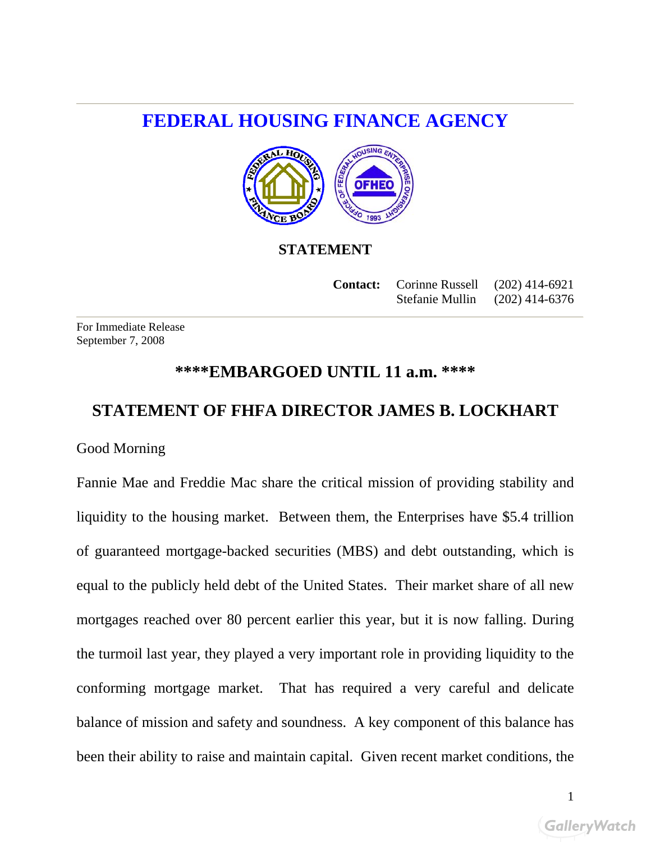## **FEDERAL HOUSING FINANCE AGENCY**



#### **STATEMENT**

| <b>Contact:</b> Corinne Russell | $(202)$ 414-6921 |
|---------------------------------|------------------|
| Stefanie Mullin                 | $(202)$ 414-6376 |

For Immediate Release September 7, 2008

# **\*\*\*\*EMBARGOED UNTIL 11 a.m. \*\*\*\***

### **STATEMENT OF FHFA DIRECTOR JAMES B. LOCKHART**

Good Morning

Fannie Mae and Freddie Mac share the critical mission of providing stability and liquidity to the housing market. Between them, the Enterprises have \$5.4 trillion of guaranteed mortgage-backed securities (MBS) and debt outstanding, which is equal to the publicly held debt of the United States. Their market share of all new mortgages reached over 80 percent earlier this year, but it is now falling. During the turmoil last year, they played a very important role in providing liquidity to the conforming mortgage market. That has required a very careful and delicate balance of mission and safety and soundness. A key component of this balance has been their ability to raise and maintain capital. Given recent market conditions, the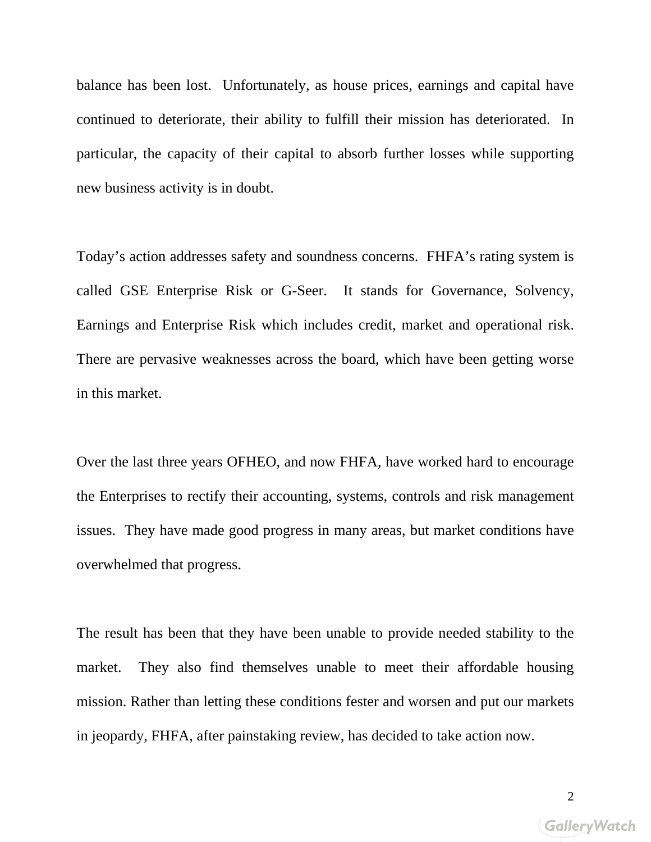balance has been lost. Unfortunately, as house prices, earnings and capital have continued to deteriorate, their ability to fulfill their mission has deteriorated. In particular, the capacity of their capital to absorb further losses while supporting new business activity is in doubt.

Today's action addresses safety and soundness concerns. FHFA's rating system is called GSE Enterprise Risk or G-Seer. It stands for Governance, Solvency, Earnings and Enterprise Risk which includes credit, market and operational risk. There are pervasive weaknesses across the board, which have been getting worse in this market.

Over the last three years OFHEO, and now FHFA, have worked hard to encourage the Enterprises to rectify their accounting, systems, controls and risk management issues. They have made good progress in many areas, but market conditions have overwhelmed that progress.

The result has been that they have been unable to provide needed stability to the market. They also find themselves unable to meet their affordable housing mission. Rather than letting these conditions fester and worsen and put our markets in jeopardy, FHFA, after painstaking review, has decided to take action now.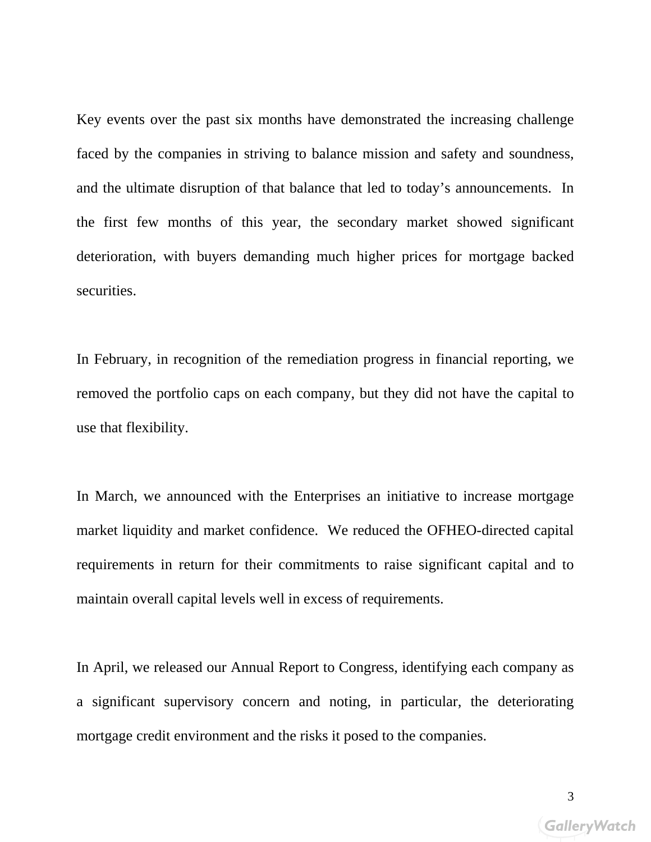Key events over the past six months have demonstrated the increasing challenge faced by the companies in striving to balance mission and safety and soundness, and the ultimate disruption of that balance that led to today's announcements. In the first few months of this year, the secondary market showed significant deterioration, with buyers demanding much higher prices for mortgage backed securities.

In February, in recognition of the remediation progress in financial reporting, we removed the portfolio caps on each company, but they did not have the capital to use that flexibility.

In March, we announced with the Enterprises an initiative to increase mortgage market liquidity and market confidence. We reduced the OFHEO-directed capital requirements in return for their commitments to raise significant capital and to maintain overall capital levels well in excess of requirements.

In April, we released our Annual Report to Congress, identifying each company as a significant supervisory concern and noting, in particular, the deteriorating mortgage credit environment and the risks it posed to the companies.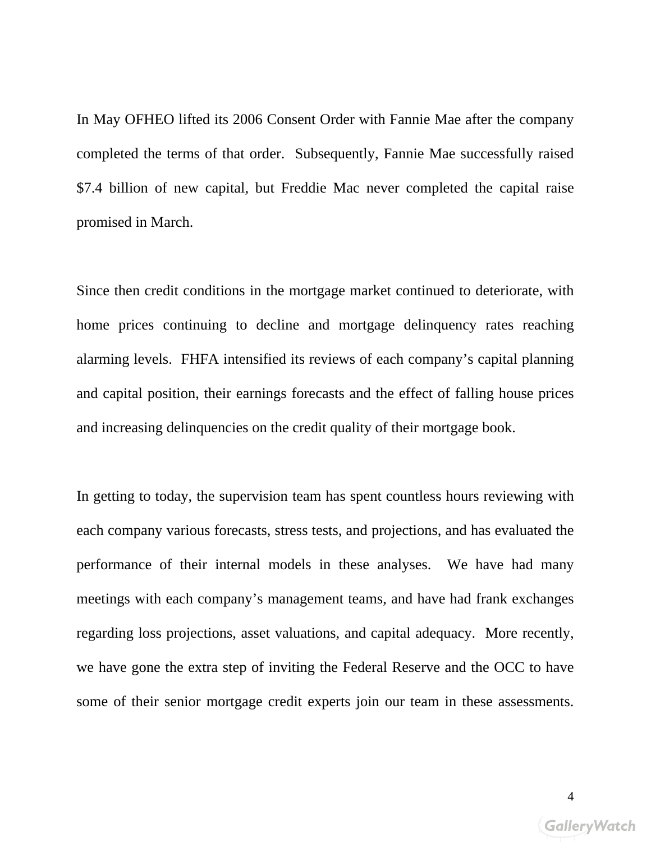In May OFHEO lifted its 2006 Consent Order with Fannie Mae after the company completed the terms of that order. Subsequently, Fannie Mae successfully raised \$7.4 billion of new capital, but Freddie Mac never completed the capital raise promised in March.

Since then credit conditions in the mortgage market continued to deteriorate, with home prices continuing to decline and mortgage delinquency rates reaching alarming levels. FHFA intensified its reviews of each company's capital planning and capital position, their earnings forecasts and the effect of falling house prices and increasing delinquencies on the credit quality of their mortgage book.

In getting to today, the supervision team has spent countless hours reviewing with each company various forecasts, stress tests, and projections, and has evaluated the performance of their internal models in these analyses. We have had many meetings with each company's management teams, and have had frank exchanges regarding loss projections, asset valuations, and capital adequacy. More recently, we have gone the extra step of inviting the Federal Reserve and the OCC to have some of their senior mortgage credit experts join our team in these assessments.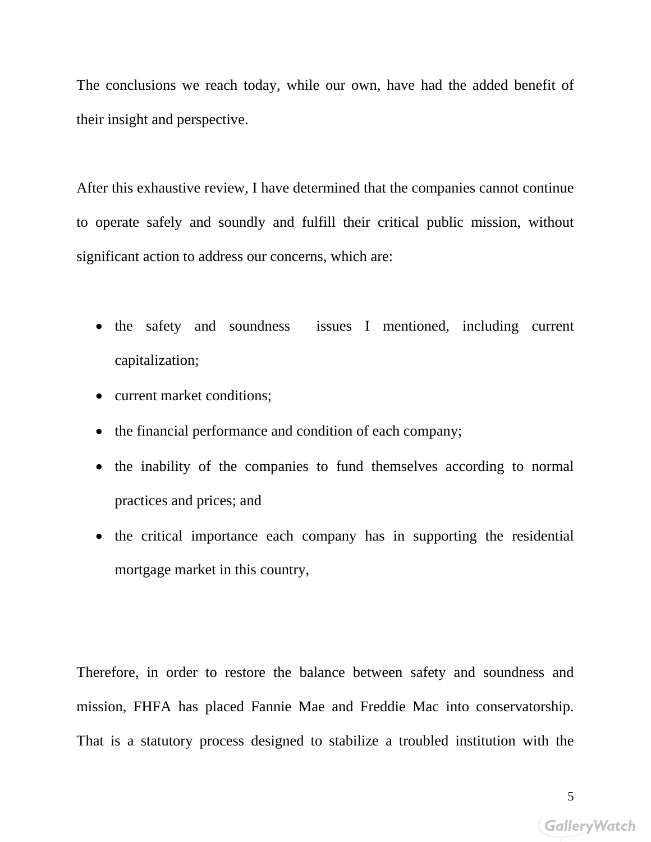The conclusions we reach today, while our own, have had the added benefit of their insight and perspective.

After this exhaustive review, I have determined that the companies cannot continue to operate safely and soundly and fulfill their critical public mission, without significant action to address our concerns, which are:

- the safety and soundness issues I mentioned, including current capitalization;
- current market conditions:
- the financial performance and condition of each company;
- the inability of the companies to fund themselves according to normal practices and prices; and
- the critical importance each company has in supporting the residential mortgage market in this country,

Therefore, in order to restore the balance between safety and soundness and mission, FHFA has placed Fannie Mae and Freddie Mac into conservatorship. That is a statutory process designed to stabilize a troubled institution with the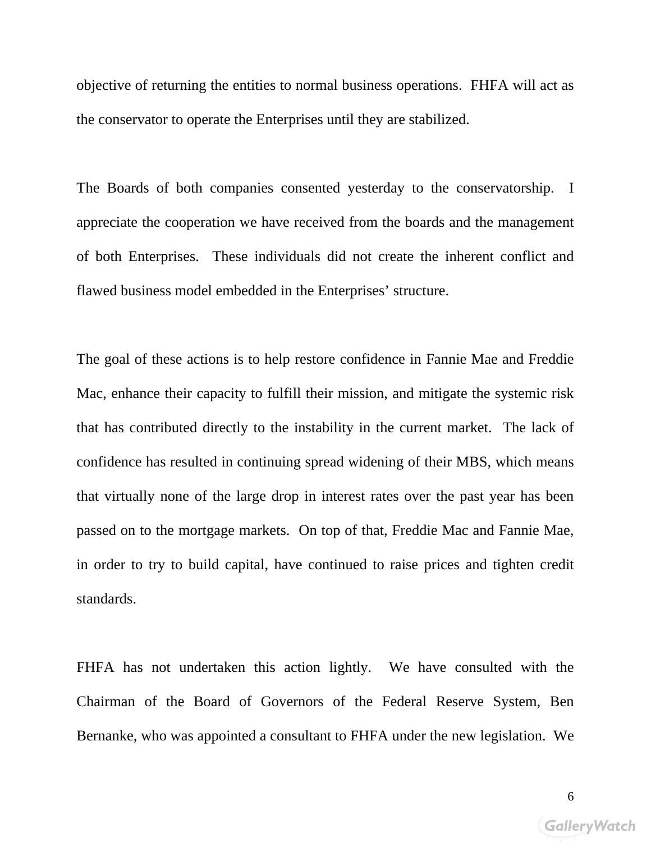objective of returning the entities to normal business operations. FHFA will act as the conservator to operate the Enterprises until they are stabilized.

The Boards of both companies consented yesterday to the conservatorship. I appreciate the cooperation we have received from the boards and the management of both Enterprises. These individuals did not create the inherent conflict and flawed business model embedded in the Enterprises' structure.

The goal of these actions is to help restore confidence in Fannie Mae and Freddie Mac, enhance their capacity to fulfill their mission, and mitigate the systemic risk that has contributed directly to the instability in the current market. The lack of confidence has resulted in continuing spread widening of their MBS, which means that virtually none of the large drop in interest rates over the past year has been passed on to the mortgage markets. On top of that, Freddie Mac and Fannie Mae, in order to try to build capital, have continued to raise prices and tighten credit standards.

FHFA has not undertaken this action lightly. We have consulted with the Chairman of the Board of Governors of the Federal Reserve System, Ben Bernanke, who was appointed a consultant to FHFA under the new legislation. We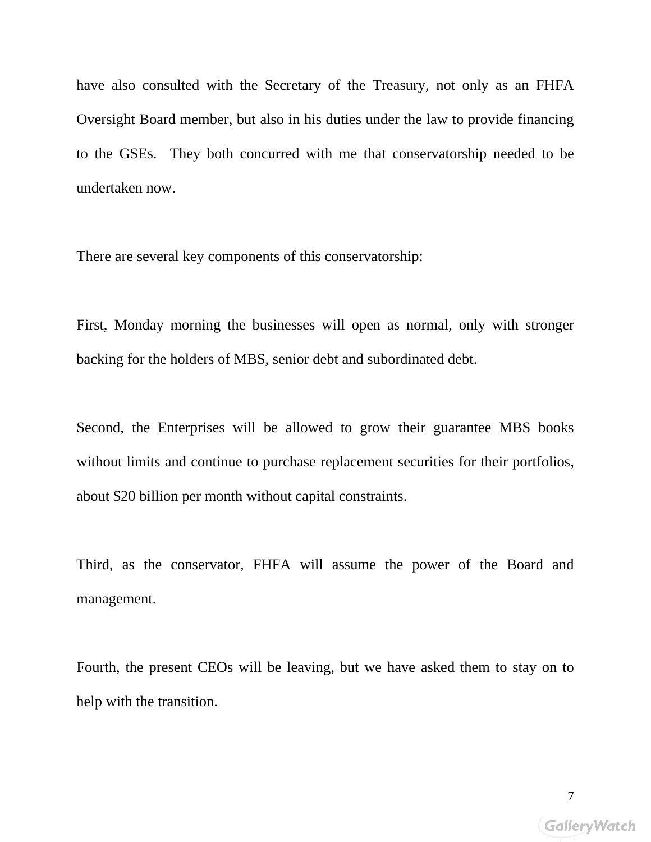have also consulted with the Secretary of the Treasury, not only as an FHFA Oversight Board member, but also in his duties under the law to provide financing to the GSEs. They both concurred with me that conservatorship needed to be undertaken now.

There are several key components of this conservatorship:

First, Monday morning the businesses will open as normal, only with stronger backing for the holders of MBS, senior debt and subordinated debt.

Second, the Enterprises will be allowed to grow their guarantee MBS books without limits and continue to purchase replacement securities for their portfolios, about \$20 billion per month without capital constraints.

Third, as the conservator, FHFA will assume the power of the Board and management.

Fourth, the present CEOs will be leaving, but we have asked them to stay on to help with the transition.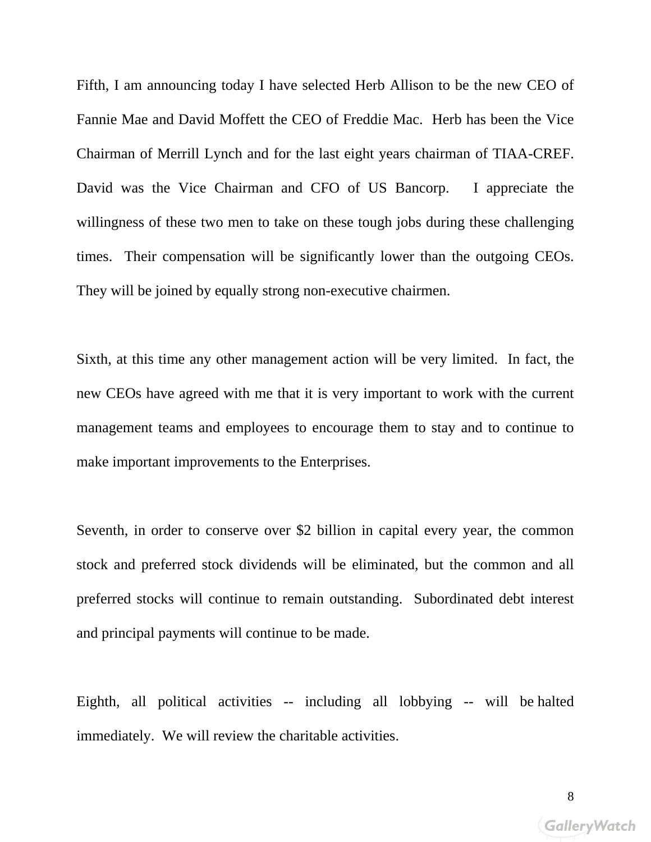Fifth, I am announcing today I have selected Herb Allison to be the new CEO of Fannie Mae and David Moffett the CEO of Freddie Mac. Herb has been the Vice Chairman of Merrill Lynch and for the last eight years chairman of TIAA-CREF. David was the Vice Chairman and CFO of US Bancorp. I appreciate the willingness of these two men to take on these tough jobs during these challenging times. Their compensation will be significantly lower than the outgoing CEOs. They will be joined by equally strong non-executive chairmen.

Sixth, at this time any other management action will be very limited. In fact, the new CEOs have agreed with me that it is very important to work with the current management teams and employees to encourage them to stay and to continue to make important improvements to the Enterprises.

Seventh, in order to conserve over \$2 billion in capital every year, the common stock and preferred stock dividends will be eliminated, but the common and all preferred stocks will continue to remain outstanding. Subordinated debt interest and principal payments will continue to be made.

Eighth, all political activities -- including all lobbying -- will be halted immediately. We will review the charitable activities.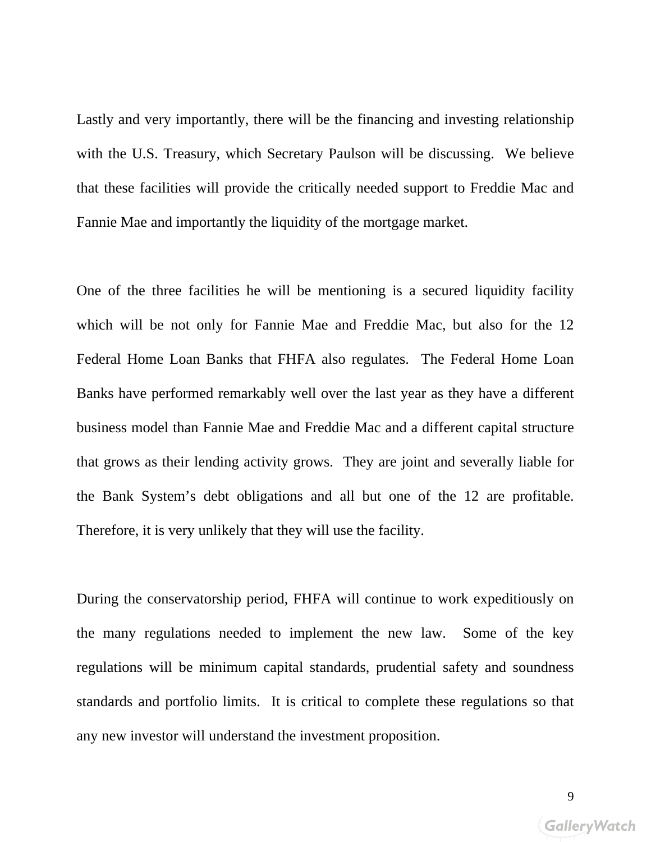Lastly and very importantly, there will be the financing and investing relationship with the U.S. Treasury, which Secretary Paulson will be discussing. We believe that these facilities will provide the critically needed support to Freddie Mac and Fannie Mae and importantly the liquidity of the mortgage market.

One of the three facilities he will be mentioning is a secured liquidity facility which will be not only for Fannie Mae and Freddie Mac, but also for the 12 Federal Home Loan Banks that FHFA also regulates. The Federal Home Loan Banks have performed remarkably well over the last year as they have a different business model than Fannie Mae and Freddie Mac and a different capital structure that grows as their lending activity grows. They are joint and severally liable for the Bank System's debt obligations and all but one of the 12 are profitable. Therefore, it is very unlikely that they will use the facility.

During the conservatorship period, FHFA will continue to work expeditiously on the many regulations needed to implement the new law. Some of the key regulations will be minimum capital standards, prudential safety and soundness standards and portfolio limits. It is critical to complete these regulations so that any new investor will understand the investment proposition.